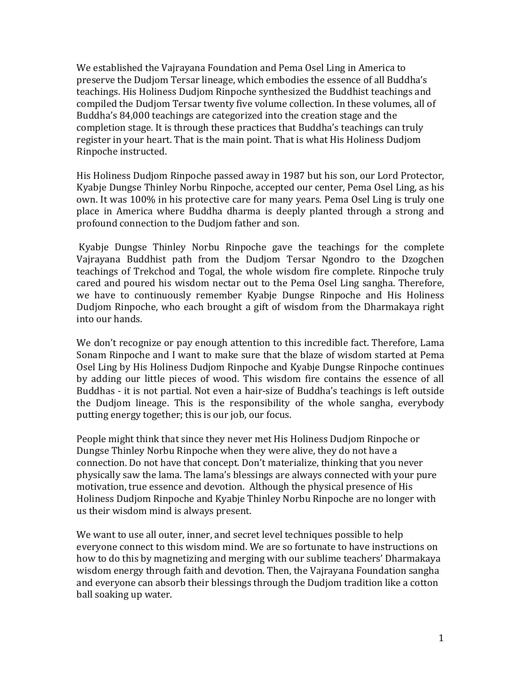We established the Vajrayana Foundation and Pema Osel Ling in America to preserve the Dudjom Tersar lineage, which embodies the essence of all Buddha's teachings. His Holiness Dudjom Rinpoche synthesized the Buddhist teachings and compiled the Dudjom Tersar twenty five volume collection. In these volumes, all of Buddha's 84,000 teachings are categorized into the creation stage and the completion stage. It is through these practices that Buddha's teachings can truly register in your heart. That is the main point. That is what His Holiness Dudjom Rinpoche instructed.

His Holiness Dudjom Rinpoche passed away in 1987 but his son, our Lord Protector, Kyabje Dungse Thinley Norbu Rinpoche, accepted our center, Pema Osel Ling, as his own. It was 100% in his protective care for many years. Pema Osel Ling is truly one place in America where Buddha dharma is deeply planted through a strong and profound connection to the Dudjom father and son.

Kyabje Dungse Thinley Norbu Rinpoche gave the teachings for the complete Vajrayana Buddhist path from the Dudjom Tersar Ngondro to the Dzogchen teachings of Trekchod and Togal, the whole wisdom fire complete. Rinpoche truly cared and poured his wisdom nectar out to the Pema Osel Ling sangha. Therefore, we have to continuously remember Kyabje Dungse Rinpoche and His Holiness Dudjom Rinpoche, who each brought a gift of wisdom from the Dharmakaya right into our hands.

We don't recognize or pay enough attention to this incredible fact. Therefore, Lama Sonam Rinpoche and I want to make sure that the blaze of wisdom started at Pema Osel Ling by His Holiness Dudjom Rinpoche and Kyabje Dungse Rinpoche continues by adding our little pieces of wood. This wisdom fire contains the essence of all Buddhas - it is not partial. Not even a hair-size of Buddha's teachings is left outside the Dudjom lineage. This is the responsibility of the whole sangha, everybody putting energy together; this is our job, our focus.

People might think that since they never met His Holiness Dudjom Rinpoche or Dungse Thinley Norbu Rinpoche when they were alive, they do not have a connection. Do not have that concept. Don't materialize, thinking that you never physically saw the lama. The lama's blessings are always connected with your pure motivation, true essence and devotion. Although the physical presence of His Holiness Dudjom Rinpoche and Kyabje Thinley Norbu Rinpoche are no longer with us their wisdom mind is always present.

We want to use all outer, inner, and secret level techniques possible to help everyone connect to this wisdom mind. We are so fortunate to have instructions on how to do this by magnetizing and merging with our sublime teachers' Dharmakaya wisdom energy through faith and devotion. Then, the Vajrayana Foundation sangha and everyone can absorb their blessings through the Dudjom tradition like a cotton ball soaking up water.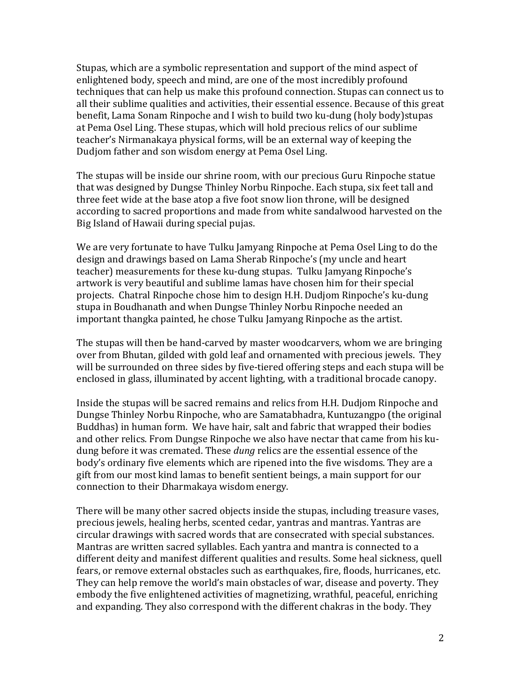Stupas, which are a symbolic representation and support of the mind aspect of enlightened body, speech and mind, are one of the most incredibly profound techniques that can help us make this profound connection. Stupas can connect us to all their sublime qualities and activities, their essential essence. Because of this great benefit, Lama Sonam Rinpoche and I wish to build two ku-dung (holy body) stupas at Pema Osel Ling. These stupas, which will hold precious relics of our sublime teacher's Nirmanakaya physical forms, will be an external way of keeping the Dudjom father and son wisdom energy at Pema Osel Ling.

The stupas will be inside our shrine room, with our precious Guru Rinpoche statue that was designed by Dungse Thinley Norbu Rinpoche. Each stupa, six feet tall and three feet wide at the base atop a five foot snow lion throne, will be designed according to sacred proportions and made from white sandalwood harvested on the Big Island of Hawaii during special pujas.

We are very fortunate to have Tulku Jamyang Rinpoche at Pema Osel Ling to do the design and drawings based on Lama Sherab Rinpoche's (my uncle and heart teacher) measurements for these ku-dung stupas. Tulku Jamyang Rinpoche's artwork is very beautiful and sublime lamas have chosen him for their special projects. Chatral Rinpoche chose him to design H.H. Dudjom Rinpoche's ku-dung stupa in Boudhanath and when Dungse Thinley Norbu Rinpoche needed an important thangka painted, he chose Tulku Jamyang Rinpoche as the artist.

The stupas will then be hand-carved by master woodcarvers, whom we are bringing over from Bhutan, gilded with gold leaf and ornamented with precious jewels. They will be surrounded on three sides by five-tiered offering steps and each stupa will be enclosed in glass, illuminated by accent lighting, with a traditional brocade canopy.

Inside the stupas will be sacred remains and relics from H.H. Dudjom Rinpoche and Dungse Thinley Norbu Rinpoche, who are Samatabhadra, Kuntuzangpo (the original Buddhas) in human form. We have hair, salt and fabric that wrapped their bodies and other relics. From Dungse Rinpoche we also have nectar that came from his kudung before it was cremated. These *dung* relics are the essential essence of the body's ordinary five elements which are ripened into the five wisdoms. They are a gift from our most kind lamas to benefit sentient beings, a main support for our connection to their Dharmakaya wisdom energy.

There will be many other sacred objects inside the stupas, including treasure vases, precious jewels, healing herbs, scented cedar, yantras and mantras. Yantras are circular drawings with sacred words that are consecrated with special substances. Mantras are written sacred syllables. Each yantra and mantra is connected to a different deity and manifest different qualities and results. Some heal sickness, quell fears, or remove external obstacles such as earthquakes, fire, floods, hurricanes, etc. They can help remove the world's main obstacles of war, disease and poverty. They embody the five enlightened activities of magnetizing, wrathful, peaceful, enriching and expanding. They also correspond with the different chakras in the body. They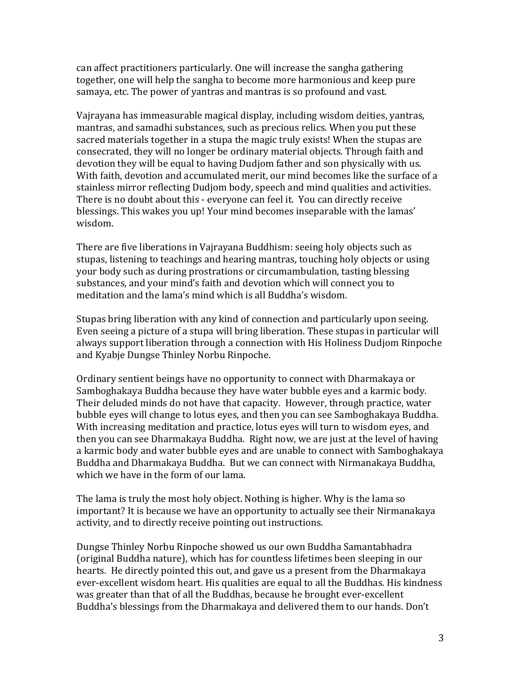can affect practitioners particularly. One will increase the sangha gathering together, one will help the sangha to become more harmonious and keep pure samaya, etc. The power of yantras and mantras is so profound and vast.

Vairayana has immeasurable magical display, including wisdom deities, yantras, mantras, and samadhi substances, such as precious relics. When you put these sacred materials together in a stupa the magic truly exists! When the stupas are consecrated, they will no longer be ordinary material objects. Through faith and devotion they will be equal to having Dudjom father and son physically with us. With faith, devotion and accumulated merit, our mind becomes like the surface of a stainless mirror reflecting Dudjom body, speech and mind qualities and activities. There is no doubt about this - everyone can feel it. You can directly receive blessings. This wakes you up! Your mind becomes inseparable with the lamas' wisdom. 

There are five liberations in Vajrayana Buddhism: seeing holy objects such as stupas, listening to teachings and hearing mantras, touching holy objects or using your body such as during prostrations or circumambulation, tasting blessing substances, and your mind's faith and devotion which will connect you to meditation and the lama's mind which is all Buddha's wisdom.

Stupas bring liberation with any kind of connection and particularly upon seeing. Even seeing a picture of a stupa will bring liberation. These stupas in particular will always support liberation through a connection with His Holiness Dudjom Rinpoche and Kyabje Dungse Thinley Norbu Rinpoche.

Ordinary sentient beings have no opportunity to connect with Dharmakaya or Samboghakaya Buddha because they have water bubble eyes and a karmic body. Their deluded minds do not have that capacity. However, through practice, water bubble eyes will change to lotus eyes, and then you can see Samboghakaya Buddha. With increasing meditation and practice, lotus eyes will turn to wisdom eyes, and then you can see Dharmakaya Buddha. Right now, we are just at the level of having a karmic body and water bubble eyes and are unable to connect with Samboghakaya Buddha and Dharmakaya Buddha. But we can connect with Nirmanakaya Buddha, which we have in the form of our lama.

The lama is truly the most holy object. Nothing is higher. Why is the lama so important? It is because we have an opportunity to actually see their Nirmanakaya activity, and to directly receive pointing out instructions.

Dungse Thinley Norbu Rinpoche showed us our own Buddha Samantabhadra (original Buddha nature), which has for countless lifetimes been sleeping in our hearts. He directly pointed this out, and gave us a present from the Dharmakaya ever-excellent wisdom heart. His qualities are equal to all the Buddhas. His kindness was greater than that of all the Buddhas, because he brought ever-excellent Buddha's blessings from the Dharmakaya and delivered them to our hands. Don't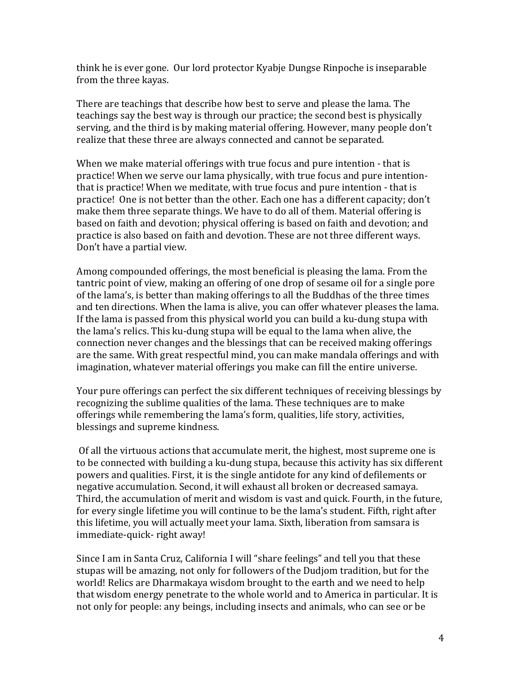think he is ever gone. Our lord protector Kyabje Dungse Rinpoche is inseparable from the three kayas.

There are teachings that describe how best to serve and please the lama. The teachings say the best way is through our practice; the second best is physically serving, and the third is by making material offering. However, many people don't realize that these three are always connected and cannot be separated.

When we make material offerings with true focus and pure intention - that is practice! When we serve our lama physically, with true focus and pure intentionthat is practice! When we meditate, with true focus and pure intention - that is practice! One is not better than the other. Each one has a different capacity; don't make them three separate things. We have to do all of them. Material offering is based on faith and devotion; physical offering is based on faith and devotion; and practice is also based on faith and devotion. These are not three different ways. Don't have a partial view.

Among compounded offerings, the most beneficial is pleasing the lama. From the tantric point of view, making an offering of one drop of sesame oil for a single pore of the lama's, is better than making offerings to all the Buddhas of the three times and ten directions. When the lama is alive, you can offer whatever pleases the lama. If the lama is passed from this physical world you can build a ku-dung stupa with the lama's relics. This ku-dung stupa will be equal to the lama when alive, the connection never changes and the blessings that can be received making offerings are the same. With great respectful mind, you can make mandala offerings and with imagination, whatever material offerings you make can fill the entire universe.

Your pure offerings can perfect the six different techniques of receiving blessings by recognizing the sublime qualities of the lama. These techniques are to make offerings while remembering the lama's form, qualities, life story, activities, blessings and supreme kindness.

Of all the virtuous actions that accumulate merit, the highest, most supreme one is to be connected with building a ku-dung stupa, because this activity has six different powers and qualities. First, it is the single antidote for any kind of defilements or negative accumulation. Second, it will exhaust all broken or decreased samaya. Third, the accumulation of merit and wisdom is vast and quick. Fourth, in the future, for every single lifetime you will continue to be the lama's student. Fifth, right after this lifetime, you will actually meet your lama. Sixth, liberation from samsara is immediate-quick- right away!

Since I am in Santa Cruz, California I will "share feelings" and tell you that these stupas will be amazing, not only for followers of the Dudjom tradition, but for the world! Relics are Dharmakaya wisdom brought to the earth and we need to help that wisdom energy penetrate to the whole world and to America in particular. It is not only for people: any beings, including insects and animals, who can see or be